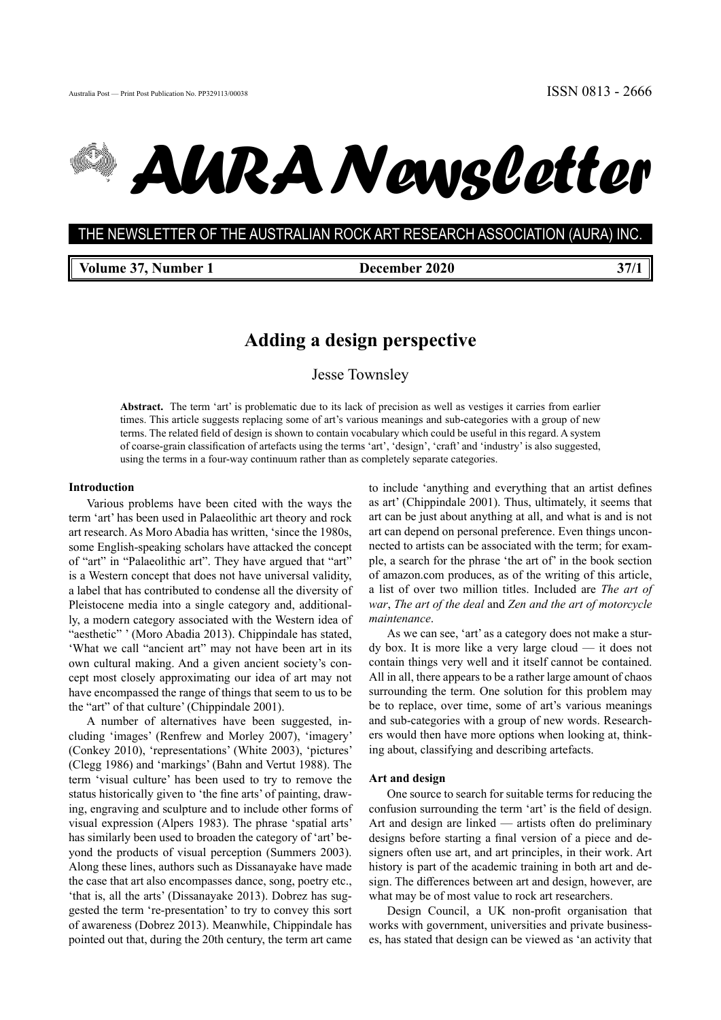# *AURA Newsletter*

**THE NEWSLETTER OF THE AUSTRALIAN ROCK ART RESEARCH ASSOCIATION (AURA) INC.** THE NEWSLETTER OF THE AUSTRALIAN ROCK ART RESEARCH ASSOCIATION (AURA) INC.

**Volume 37, Number 1 December 2020 37/1**

## **Adding a design perspective**

Jesse Townsley

**Abstract.** The term 'art' is problematic due to its lack of precision as well as vestiges it carries from earlier times. This article suggests replacing some of art's various meanings and sub-categories with a group of new terms. The related field of design is shown to contain vocabulary which could be useful in this regard. A system of coarse-grain classification of artefacts using the terms 'art', 'design', 'craft' and 'industry' is also suggested, using the terms in a four-way continuum rather than as completely separate categories.

#### **Introduction**

Various problems have been cited with the ways the term 'art' has been used in Palaeolithic art theory and rock art research. As Moro Abadia has written, 'since the 1980s, some English-speaking scholars have attacked the concept of "art" in "Palaeolithic art". They have argued that "art" is a Western concept that does not have universal validity, a label that has contributed to condense all the diversity of Pleistocene media into a single category and, additionally, a modern category associated with the Western idea of "aesthetic" ' (Moro Abadia 2013). Chippindale has stated, 'What we call "ancient art" may not have been art in its own cultural making. And a given ancient society's concept most closely approximating our idea of art may not have encompassed the range of things that seem to us to be the "art" of that culture' (Chippindale 2001).

A number of alternatives have been suggested, including 'images' (Renfrew and Morley 2007), 'imagery' (Conkey 2010), 'representations' (White 2003), 'pictures' (Clegg 1986) and 'markings' (Bahn and Vertut 1988). The term 'visual culture' has been used to try to remove the status historically given to 'the fine arts' of painting, drawing, engraving and sculpture and to include other forms of visual expression (Alpers 1983). The phrase 'spatial arts' has similarly been used to broaden the category of 'art' beyond the products of visual perception (Summers 2003). Along these lines, authors such as Dissanayake have made the case that art also encompasses dance, song, poetry etc., 'that is, all the arts' (Dissanayake 2013). Dobrez has suggested the term 're-presentation' to try to convey this sort of awareness (Dobrez 2013). Meanwhile, Chippindale has pointed out that, during the 20th century, the term art came

to include 'anything and everything that an artist defines as art' (Chippindale 2001). Thus, ultimately, it seems that art can be just about anything at all, and what is and is not art can depend on personal preference. Even things unconnected to artists can be associated with the term; for example, a search for the phrase 'the art of' in the book section of amazon.com produces, as of the writing of this article, a list of over two million titles. Included are *The art of war*, *The art of the deal* and *Zen and the art of motorcycle maintenance*.

As we can see, 'art' as a category does not make a sturdy box. It is more like a very large cloud — it does not contain things very well and it itself cannot be contained. All in all, there appears to be a rather large amount of chaos surrounding the term. One solution for this problem may be to replace, over time, some of art's various meanings and sub-categories with a group of new words. Researchers would then have more options when looking at, thinking about, classifying and describing artefacts.

#### **Art and design**

One source to search for suitable terms for reducing the confusion surrounding the term 'art' is the field of design. Art and design are linked — artists often do preliminary designs before starting a final version of a piece and designers often use art, and art principles, in their work. Art history is part of the academic training in both art and design. The differences between art and design, however, are what may be of most value to rock art researchers.

Design Council, a UK non-profit organisation that works with government, universities and private businesses, has stated that design can be viewed as 'an activity that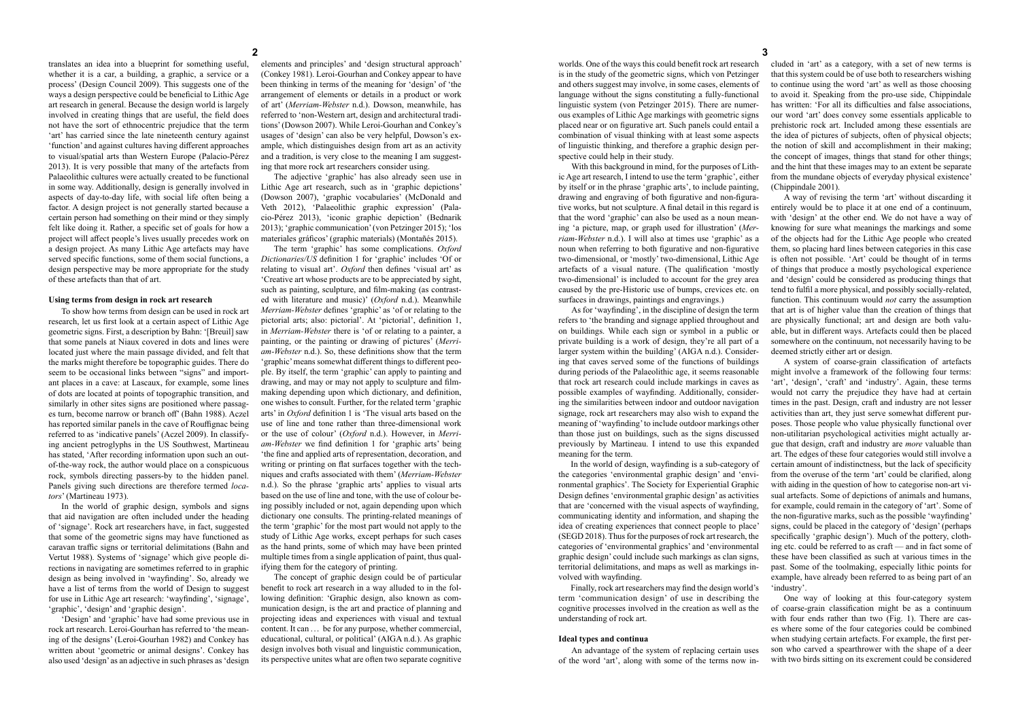worlds. One of the ways this could benefit rock art research is in the study of the geometric signs, which von Petzinger and others suggest may involve, in some cases, elements of language without the signs constituting a fully-functional linguistic system (von Petzinger 2015). There are numerous examples of Lithic Age markings with geometric signs placed near or on figurative art. Such panels could entail a combination of visual thinking with at least some aspects of linguistic thinking, and therefore a graphic design perspective could help in their study.

With this background in mind, for the purposes of Lithic Age art research, I intend to use the term 'graphic', either by itself or in the phrase 'graphic arts', to include painting, drawing and engraving of both figurative and non-figurative works, but not sculpture. A final detail in this regard is that the word 'graphic' can also be used as a noun meaning 'a picture, map, or graph used for illustration' (*Merriam-Webster* n.d.). I will also at times use 'graphic' as a noun when referring to both figurative and non-figurative two-dimensional, or 'mostly' two-dimensional, Lithic Age artefacts of a visual nature. (The qualification 'mostly two-dimensional' is included to account for the grey area caused by the pre-Historic use of bumps, crevices etc. on surfaces in drawings, paintings and engravings.)

As for 'wayfinding', in the discipline of design the term refers to 'the branding and signage applied throughout and on buildings. While each sign or symbol in a public or private building is a work of design, they're all part of a larger system within the building' (AIGA n.d.). Considering that caves served some of the functions of buildings during periods of the Palaeolithic age, it seems reasonable that rock art research could include markings in caves as possible examples of wayfinding. Additionally, considering the similarities between indoor and outdoor navigation signage, rock art researchers may also wish to expand the meaning of 'wayfinding' to include outdoor markings other than those just on buildings, such as the signs discussed previously by Martineau. I intend to use this expanded meaning for the term.

In the world of design, wayfinding is a sub-category of the categories 'environmental graphic design' and 'environmental graphics'. The Society for Experiential Graphic Design defines 'environmental graphic design' as activities that are 'concerned with the visual aspects of wayfinding, communicating identity and information, and shaping the idea of creating experiences that connect people to place' (SEGD 2018). Thus for the purposes of rock art research, the categories of 'environmental graphics' and 'environmental graphic design' could include such markings as clan signs, territorial delimitations, and maps as well as markings involved with wayfinding.

Finally, rock art researchers may find the design world's term 'communication design' of use in describing the cognitive processes involved in the creation as well as the understanding of rock art.

#### **Ideal types and continua**

An advantage of the system of replacing certain uses of the word 'art', along with some of the terms now in-

translates an idea into a blueprint for something useful, whether it is a car, a building, a graphic, a service or a process' (Design Council 2009). This suggests one of the ways a design perspective could be beneficial to Lithic Age art research in general. Because the design world is largely involved in creating things that are useful, the field does not have the sort of ethnocentric prejudice that the term 'art' has carried since the late nineteenth century against 'function' and against cultures having different approaches to visual/spatial arts than Western Europe (Palacio-Pérez 2013). It is very possible that many of the artefacts from Palaeolithic cultures were actually created to be functional in some way. Additionally, design is generally involved in aspects of day-to-day life, with social life often being a factor. A design project is not generally started because a certain person had something on their mind or they simply felt like doing it. Rather, a specific set of goals for how a project will affect people's lives usually precedes work on a design project. As many Lithic Age artefacts may have served specific functions, some of them social functions, a design perspective may be more appropriate for the study of these artefacts than that of art.

#### **Using terms from design in rock art research**

To show how terms from design can be used in rock art research, let us first look at a certain aspect of Lithic Age geometric signs. First, a description by Bahn: '[Breuil] saw that some panels at Niaux covered in dots and lines were located just where the main passage divided, and felt that the marks might therefore be topographic guides. There do seem to be occasional links between "signs" and important places in a cave: at Lascaux, for example, some lines of dots are located at points of topographic transition, and similarly in other sites signs are positioned where passages turn, become narrow or branch off' (Bahn 1988). Aczel has reported similar panels in the cave of Rouffignac being referred to as 'indicative panels' (Aczel 2009). In classifying ancient petroglyphs in the US Southwest, Martineau has stated, 'After recording information upon such an outof-the-way rock, the author would place on a conspicuous rock, symbols directing passers-by to the hidden panel. Panels giving such directions are therefore termed *locators*' (Martineau 1973).

In the world of graphic design, symbols and signs that aid navigation are often included under the heading of 'signage'. Rock art researchers have, in fact, suggested that some of the geometric signs may have functioned as caravan traffic signs or territorial delimitations (Bahn and Vertut 1988). Systems of 'signage' which give people directions in navigating are sometimes referred to in graphic design as being involved in 'wayfinding'. So, already we have a list of terms from the world of Design to suggest for use in Lithic Age art research: 'wayfinding', 'signage', 'graphic', 'design' and 'graphic design'.

'Design' and 'graphic' have had some previous use in rock art research. Leroi-Gourhan has referred to 'the meaning of the designs' (Leroi-Gourhan 1982) and Conkey has written about 'geometric or animal designs'. Conkey has also used 'design' as an adjective in such phrases as 'design

elements and principles' and 'design structural approach' (Conkey 1981). Leroi-Gourhan and Conkey appear to have been thinking in terms of the meaning for 'design' of 'the arrangement of elements or details in a product or work of art' (*Merriam-Webster* n.d.). Dowson, meanwhile, has referred to 'non-Western art, design and architectural traditions' (Dowson 2007). While Leroi-Gourhan and Conkey's usages of 'design' can also be very helpful, Dowson's example, which distinguishes design from art as an activity and a tradition, is very close to the meaning I am suggesting that more rock art researchers consider using.

The adjective 'graphic' has also already seen use in Lithic Age art research, such as in 'graphic depictions' (Dowson 2007), 'graphic vocabularies' (McDonald and Veth 2012), 'Palaeolithic graphic expression' (Palacio-Pérez 2013), 'iconic graphic depiction' (Bednarik 2013); 'graphic communication' (von Petzinger 2015); 'los materiales gráficos' (graphic materials) (Montañés 2015).

The term 'graphic' has some complications. *Oxford Dictionaries/US* definition 1 for 'graphic' includes 'Of or relating to visual art'. *Oxford* then defines 'visual art' as 'Creative art whose products are to be appreciated by sight, such as painting, sculpture, and film-making (as contrasted with literature and music)' (*Oxford* n.d.). Meanwhile *Merriam-Webster* defines 'graphic' as 'of or relating to the pictorial arts; also: pictorial'. At 'pictorial', definition 1, in *Merriam-Webster* there is 'of or relating to a painter, a painting, or the painting or drawing of pictures' (*Merriam-Webster* n.d.). So, these definitions show that the term 'graphic' means somewhat different things to different people. By itself, the term 'graphic' can apply to painting and drawing, and may or may not apply to sculpture and filmmaking depending upon which dictionary, and definition, one wishes to consult. Further, for the related term 'graphic arts' in *Oxford* definition 1 is 'The visual arts based on the use of line and tone rather than three-dimensional work or the use of colour' (*Oxford* n.d.). However, in *Merriam-Webster* we find definition 1 for 'graphic arts' being 'the fine and applied arts of representation, decoration, and writing or printing on flat surfaces together with the techniques and crafts associated with them' (*Merriam-Webster* n.d.). So the phrase 'graphic arts' applies to visual arts based on the use of line and tone, with the use of colour being possibly included or not, again depending upon which dictionary one consults. The printing-related meanings of the term 'graphic' for the most part would not apply to the study of Lithic Age works, except perhaps for such cases as the hand prints, some of which may have been printed multiple times from a single application of paint, thus qualifying them for the category of printing.

The concept of graphic design could be of particular benefit to rock art research in a way alluded to in the following definition: 'Graphic design, also known as communication design, is the art and practice of planning and projecting ideas and experiences with visual and textual content. It can ... be for any purpose, whether commercial, educational, cultural, or political' (AIGA n.d.). As graphic design involves both visual and linguistic communication, its perspective unites what are often two separate cognitive cluded in 'art' as a category, with a set of new terms is that this system could be of use both to researchers wishing to continue using the word 'art' as well as those choosing to avoid it. Speaking from the pro-use side, Chippindale has written: 'For all its difficulties and false associations, our word 'art' does convey some essentials applicable to prehistoric rock art. Included among these essentials are the idea of pictures of subjects, often of physical objects; the notion of skill and accomplishment in their making; the concept of images, things that stand for other things; and the hint that these images may to an extent be separate from the mundane objects of everyday physical existence' (Chippindale 2001).

A way of revising the term 'art' without discarding it entirely would be to place it at one end of a continuum, with 'design' at the other end. We do not have a way of knowing for sure what meanings the markings and some of the objects had for the Lithic Age people who created them, so placing hard lines between categories in this case is often not possible. 'Art' could be thought of in terms of things that produce a mostly psychological experience and 'design' could be considered as producing things that tend to fulfil a more physical, and possibly socially-related, function. This continuum would *not* carry the assumption that art is of higher value than the creation of things that are physically functional; art and design are both valuable, but in different ways. Artefacts could then be placed somewhere on the continuum, not necessarily having to be deemed strictly either art or design.

A system of coarse-grain classification of artefacts might involve a framework of the following four terms: 'art', 'design', 'craft' and 'industry'. Again, these terms would not carry the prejudice they have had at certain times in the past. Design, craft and industry are not lesser activities than art, they just serve somewhat different purposes. Those people who value physically functional over non-utilitarian psychological activities might actually argue that design, craft and industry are *more* valuable than art. The edges of these four categories would still involve a certain amount of indistinctness, but the lack of specificity from the overuse of the term 'art' could be clarified, along with aiding in the question of how to categorise non-art visual artefacts. Some of depictions of animals and humans, for example, could remain in the category of 'art'. Some of the non-figurative marks, such as the possible 'wayfinding' signs, could be placed in the category of 'design' (perhaps specifically 'graphic design'). Much of the pottery, clothing etc. could be referred to as craft — and in fact some of these have been classified as such at various times in the past. Some of the toolmaking, especially lithic points for example, have already been referred to as being part of an 'industry'.

One way of looking at this four-category system of coarse-grain classification might be as a continuum with four ends rather than two (Fig. 1). There are cases where some of the four categories could be combined when studying certain artefacts. For example, the first person who carved a spearthrower with the shape of a deer with two birds sitting on its excrement could be considered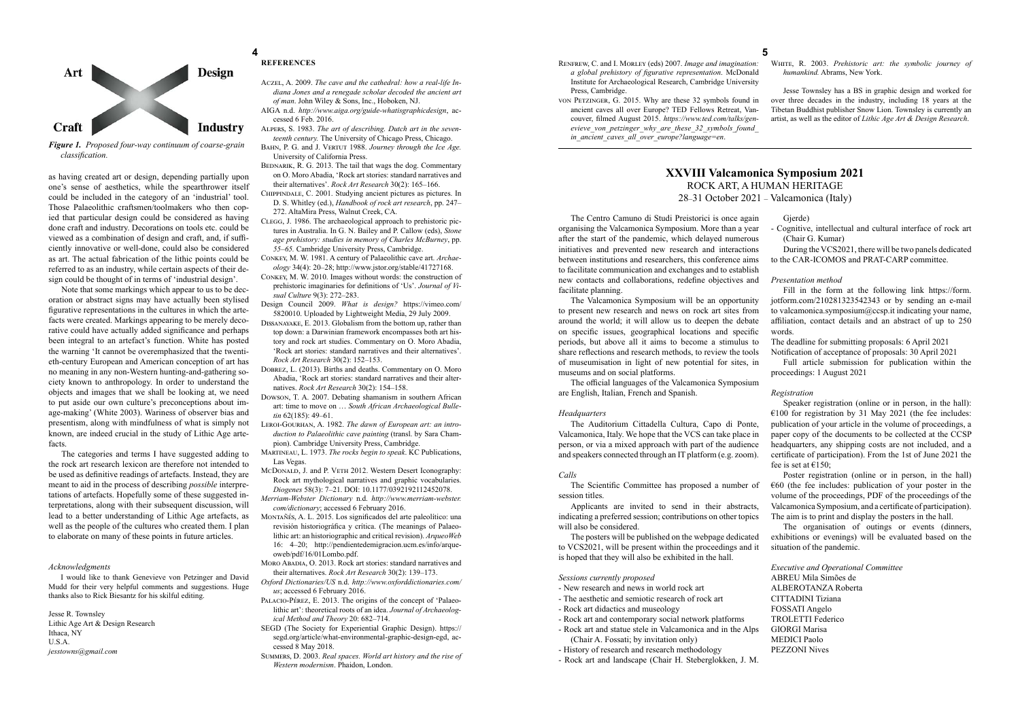as having created art or design, depending partially upon one's sense of aesthetics, while the spearthrower itself could be included in the category of an 'industrial' tool. Those Palaeolithic craftsmen/toolmakers who then copied that particular design could be considered as having done craft and industry. Decorations on tools etc. could be viewed as a combination of design and craft, and, if sufficiently innovative or well-done, could also be considered as art. The actual fabrication of the lithic points could be referred to as an industry, while certain aspects of their design could be thought of in terms of 'industrial design'.

Note that some markings which appear to us to be decoration or abstract signs may have actually been stylised figurative representations in the cultures in which the artefacts were created. Markings appearing to be merely decorative could have actually added significance and perhaps been integral to an artefact's function. White has posted the warning 'It cannot be overemphasized that the twentieth-century European and American conception of art has no meaning in any non-Western hunting-and-gathering society known to anthropology. In order to understand the objects and images that we shall be looking at, we need to put aside our own culture's preconceptions about image-making' (White 2003). Wariness of observer bias and presentism, along with mindfulness of what is simply not known, are indeed crucial in the study of Lithic Age artefacts.

#### **4 5 REFERENCES**

The categories and terms I have suggested adding to the rock art research lexicon are therefore not intended to be used as definitive readings of artefacts. Instead, they are meant to aid in the process of describing *possible* interpretations of artefacts. Hopefully some of these suggested interpretations, along with their subsequent discussion, will lead to a better understanding of Lithic Age artefacts, as well as the people of the cultures who created them. I plan to elaborate on many of these points in future articles.

#### *Acknowledgments*

I would like to thank Genevieve von Petzinger and David Mudd for their very helpful comments and suggestions. Huge thanks also to Rick Biesantz for his skilful editing.

Jesse R. Townsley Lithic Age Art & Design Research Ithaca, NY U.S.A. *jesstowns@gmail.com*

- Aczel, A. 2009. *The cave and the cathedral: how a real-life Indiana Jones and a renegade scholar decoded the ancient art of man*. John Wiley & Sons, Inc., Hoboken, NJ.
- AIGA n.d. *http://www.aiga.org/guide-whatisgraphicdesign*, accessed 6 Feb. 2016.
- Alpers, S. 1983. *The art of describing. Dutch art in the seventeenth century.* The University of Chicago Press, Chicago.
- Bahn, P. G. and J. Vertut 1988. *Journey through the Ice Age.*  University of California Press.
- BEDNARIK, R. G. 2013. The tail that wags the dog. Commentary on O. Moro Abadia, 'Rock art stories: standard narratives and their alternatives'. *Rock Art Research* 30(2): 165–166.
- Chippindale, C. 2001. Studying ancient pictures as pictures. In D. S. Whitley (ed.), *Handbook of rock art research*, pp. 247– 272. AltaMira Press, Walnut Creek, CA.
- Clegg, J. 1986. The archaeological approach to prehistoric pictures in Australia. In G. N. Bailey and P. Callow (eds), *Stone age prehistory: studies in memory of Charles McBurney*, pp. *55–65.* Cambridge University Press, Cambridge.
- Conkey, M. W. 1981. A century of Palaeolithic cave art. *Archaeology* 34(4): 20–28; http://www.jstor.org/stable/41727168.
- Conkey, M. W. 2010. Images without words: the construction of prehistoric imaginaries for definitions of 'Us'. *Journal of Visual Culture* 9(3): 272–283.
- Design Council 2009. *What is design?* https://vimeo.com/ 5820010. Uploaded by Lightweight Media, 29 July 2009.
- Dissanayake, E. 2013. Globalism from the bottom up, rather than top down: a Darwinian framework encompasses both art history and rock art studies. Commentary on O. Moro Abadia, 'Rock art stories: standard narratives and their alternatives'. *Rock Art Research* 30(2): 152–153.
- Dobrez, L. (2013). Births and deaths. Commentary on O. Moro Abadia, 'Rock art stories: standard narratives and their alternatives. *Rock Art Research* 30(2): 154–158.
- Dowson, T. A. 2007. Debating shamanism in southern African art: time to move on … *South African Archaeological Bulletin* 62(185): 49–61.
- Leroi-Gourhan, A. 1982. *The dawn of European art: an introduction to Palaeolithic cave painting* (transl. by Sara Champion). Cambridge University Press, Cambridge.
- Martineau, L. 1973. *The rocks begin to speak*. KC Publications, Las Vegas.
- McDonald, J. and P. VETH 2012. Western Desert Iconography: Rock art mythological narratives and graphic vocabularies. *Diogenes* 58(3): 7–21. DOI: 10.1177/0392192112452078.
- *Merriam-Webster Dictionary* n.d. *http://www.merriam-webster. com/dictionary*; accessed 6 February 2016.
- Montañés, A. L. 2015. Los significados del arte paleolítico: una revisión historiográfica y crítica. (The meanings of Palaeolithic art: an historiographic and critical revision). *ArqueoWeb* 16: 4–20; http://pendientedemigracion.ucm.es/info/arqueoweb/pdf/16/01Lombo.pdf.
- MORO ABADIA, O. 2013. Rock art stories: standard narratives and their alternatives. *Rock Art Research* 30(2): 139–173.
- *Oxford Dictionaries/US* n.d. *http://www.oxforddictionaries.com/ us*; accessed 6 February 2016.
- PALACIO-PÉREZ, E. 2013. The origins of the concept of 'Palaeolithic art': theoretical roots of an idea. *Journal of Archaeological Method and Theory* 20: 682–714.
- SEGD (The Society for Experiential Graphic Design). https:// segd.org/article/what-environmental-graphic-design-egd, accessed 8 May 2018.
- Summers, D. 2003. *Real spaces. World art history and the rise of Western modernism*. Phaidon, London.

Speaker registration (online or in person, in the hall): €100 for registration by 31 May 2021 (the fee includes: publication of your article in the volume of proceedings, a paper copy of the documents to be collected at the CCSP headquarters, any shipping costs are not included, and a certificate of participation). From the 1st of June 2021 the fee is set at  $£150$ :

- Renfrew, C. and I. Morley (eds) 2007. *Image and imagination: a global prehistory of figurative representation*. McDonald Institute for Archaeological Research, Cambridge University Press, Cambridge.
- von Petzinger, G. 2015. Why are these 32 symbols found in ancient caves all over Europe? TED Fellows Retreat, Vancouver, filmed August 2015. *https://www.ted.com/talks/genevieve\_von\_petzinger\_why\_are\_these\_32\_symbols\_found\_ in\_ancient\_caves\_all\_over\_europe?language=en*.



#### *Figure 1. Proposed four-way continuum of coarse-grain classification.*

White, R. 2003. *Prehistoric art: the symbolic journey of humankind.* Abrams, New York.

Jesse Townsley has a BS in graphic design and worked for over three decades in the industry, including 18 years at the Tibetan Buddhist publisher Snow Lion. Townsley is currently an artist, as well as the editor of *Lithic Age Art & Design Research*.

The Centro Camuno di Studi Preistorici is once again organising the Valcamonica Symposium. More than a year after the start of the pandemic, which delayed numerous initiatives and prevented new research and interactions between institutions and researchers, this conference aims to facilitate communication and exchanges and to establish new contacts and collaborations, redefine objectives and facilitate planning.

The Valcamonica Symposium will be an opportunity to present new research and news on rock art sites from around the world; it will allow us to deepen the debate on specific issues, geographical locations and specific periods, but above all it aims to become a stimulus to share reflections and research methods, to review the tools of museumisation in light of new potential for sites, in museums and on social platforms.

The official languages of the Valcamonica Symposium are English, Italian, French and Spanish.

#### *Headquarters*

The Auditorium Cittadella Cultura, Capo di Ponte, Valcamonica, Italy. We hope that the VCS can take place in person, or via a mixed approach with part of the audience and speakers connected through an IT platform (e.g. zoom).

#### *Calls*

The Scientific Committee has proposed a number of session titles.

Applicants are invited to send in their abstracts, indicating a preferred session; contributions on other topics will also be considered.

The posters will be published on the webpage dedicated to VCS2021, will be present within the proceedings and it is hoped that they will also be exhibited in the hall.

#### *Sessions currently proposed*

- New research and news in world rock art
- The aesthetic and semiotic research of rock art
- Rock art didactics and museology
- Rock art and contemporary social network platforms
- Rock art and statue stele in Valcamonica and in the Alps (Chair A. Fossati; by invitation only)
- History of research and research methodology
- Rock art and landscape (Chair H. Steberglokken, J. M.

#### Gjerde)

- Cognitive, intellectual and cultural interface of rock art (Chair G. Kumar)

During the VCS2021, there will be two panels dedicated to the CAR-ICOMOS and PRAT-CARP committee.

#### *Presentation method*

Fill in the form at the following link https://form. jotform.com/210281323542343 or by sending an e-mail to valcamonica.symposium@ccsp.it indicating your name, affiliation, contact details and an abstract of up to 250 words.

The deadline for submitting proposals: 6 April 2021 Notification of acceptance of proposals: 30 April 2021

Full article submission for publication within the proceedings: 1 August 2021

#### *Registration*

Poster registration (online or in person, in the hall)  $\epsilon$ 60 (the fee includes: publication of your poster in the volume of the proceedings, PDF of the proceedings of the Valcamonica Symposium, and a certificate of participation). The aim is to print and display the posters in the hall.

The organisation of outings or events (dinners, exhibitions or evenings) will be evaluated based on the situation of the pandemic.

*Executive and Operational Committee*

ABREU Mila Simões de ALBEROTANZA Roberta CITTADINI Tiziana FOSSATI Angelo TROLETTI Federico GIORGI Marisa MEDICI Paolo PEZZONI Nives

## **XXVIII Valcamonica Symposium 2021** ROCK ART, A HUMAN HERITAGE 28–31 October 2021 – Valcamonica (Italy)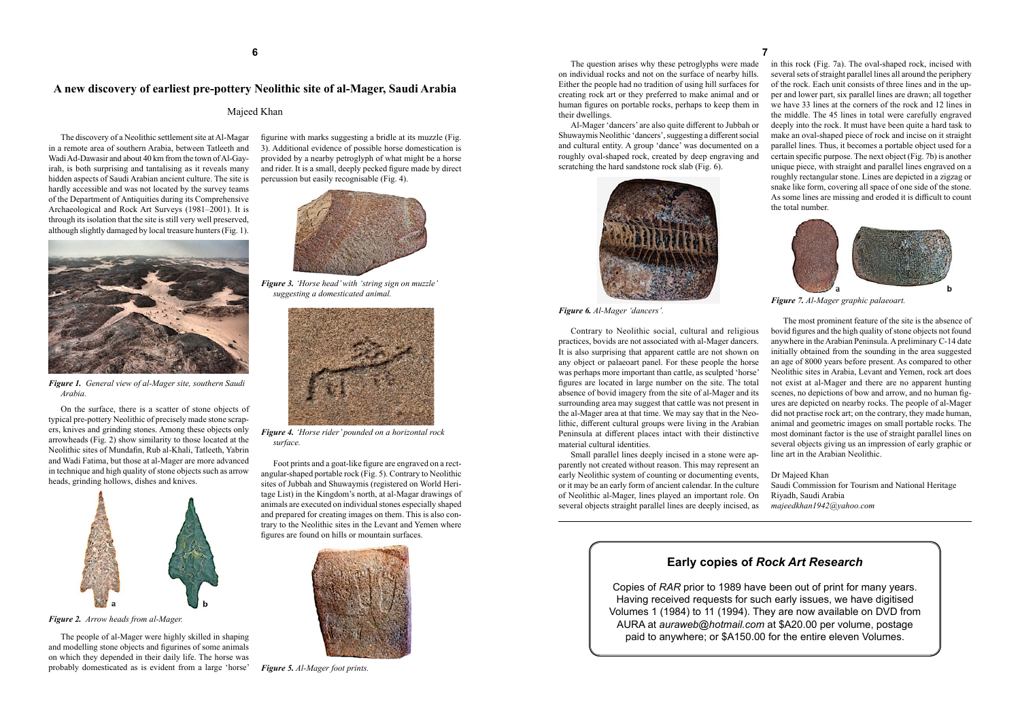The discovery of a Neolithic settlement site at Al-Magar in a remote area of southern Arabia, between Tatleeth and Wadi Ad-Dawasir and about 40 km from the town of Al-Gayirah, is both surprising and tantalising as it reveals many hidden aspects of Saudi Arabian ancient culture. The site is hardly accessible and was not located by the survey teams of the Department of Antiquities during its Comprehensive Archaeological and Rock Art Surveys (1981–2001). It is through its isolation that the site is still very well preserved, although slightly damaged by local treasure hunters (Fig. 1).



*Figure 1. General view of al-Mager site, southern Saudi Arabia.*

On the surface, there is a scatter of stone objects of typical pre-pottery Neolithic of precisely made stone scrapers, knives and grinding stones. Among these objects only arrowheads (Fig. 2) show similarity to those located at the Neolithic sites of Mundafin, Rub al-Khali, Tatleeth, Yabrin and Wadi Fatima, but those at al-Mager are more advanced in technique and high quality of stone objects such as arrow heads, grinding hollows, dishes and knives.



*Figure 2. Arrow heads from al-Mager.*

The people of al-Mager were highly skilled in shaping and modelling stone objects and figurines of some animals on which they depended in their daily life. The horse was probably domesticated as is evident from a large 'horse'

Al-Mager 'dancers' are also quite different to Jubbah or Shuwaymis Neolithic 'dancers', suggesting a different social and cultural entity. A group 'dance' was documented on a roughly oval-shaped rock, created by deep engraving and scratching the hard sandstone rock slab (Fig. 6).

figurine with marks suggesting a bridle at its muzzle (Fig. 3). Additional evidence of possible horse domestication is provided by a nearby petroglyph of what might be a horse and rider. It is a small, deeply pecked figure made by direct percussion but easily recognisable (Fig. 4).



*Figure 3. 'Horse head' with 'string sign on muzzle' suggesting a domesticated animal.*



*Figure 4. 'Horse rider' pounded on a horizontal rock surface.*

Foot prints and a goat-like figure are engraved on a rectangular-shaped portable rock (Fig. 5). Contrary to Neolithic sites of Jubbah and Shuwaymis (registered on World Heritage List) in the Kingdom's north, at al-Magar drawings of animals are executed on individual stones especially shaped and prepared for creating images on them. This is also contrary to the Neolithic sites in the Levant and Yemen where figures are found on hills or mountain surfaces.



*Figure 5. Al-Mager foot prints.*

The question arises why these petroglyphs were made on individual rocks and not on the surface of nearby hills. Either the people had no tradition of using hill surfaces for creating rock art or they preferred to make animal and or human figures on portable rocks, perhaps to keep them in their dwellings.



*Figure 6. Al-Mager 'dancers'.*

Contrary to Neolithic social, cultural and religious practices, bovids are not associated with al-Mager dancers. It is also surprising that apparent cattle are not shown on any object or palaeoart panel. For these people the horse was perhaps more important than cattle, as sculpted 'horse' figures are located in large number on the site. The total absence of bovid imagery from the site of al-Mager and its surrounding area may suggest that cattle was not present in the al-Mager area at that time. We may say that in the Neolithic, different cultural groups were living in the Arabian Peninsula at different places intact with their distinctive material cultural identities.

Small parallel lines deeply incised in a stone were apparently not created without reason. This may represent an early Neolithic system of counting or documenting events, or it may be an early form of ancient calendar. In the culture of Neolithic al-Mager, lines played an important role. On several objects straight parallel lines are deeply incised, as

## **A new discovery of earliest pre-pottery Neolithic site of al-Mager, Saudi Arabia**

### Majeed Khan

in this rock (Fig. 7a). The oval-shaped rock, incised with several sets of straight parallel lines all around the periphery of the rock. Each unit consists of three lines and in the upper and lower part, six parallel lines are drawn; all together we have 33 lines at the corners of the rock and 12 lines in the middle. The 45 lines in total were carefully engraved deeply into the rock. It must have been quite a hard task to make an oval-shaped piece of rock and incise on it straight parallel lines. Thus, it becomes a portable object used for a certain specific purpose. The next object (Fig. 7b) is another unique piece, with straight and parallel lines engraved on a roughly rectangular stone. Lines are depicted in a zigzag or snake like form, covering all space of one side of the stone. As some lines are missing and eroded it is difficult to count the total number.



*Figure 7. Al-Mager graphic palaeoart.*

The most prominent feature of the site is the absence of bovid figures and the high quality of stone objects not found anywhere in the Arabian Peninsula. A preliminary C-14 date initially obtained from the sounding in the area suggested an age of 8000 years before present. As compared to other Neolithic sites in Arabia, Levant and Yemen, rock art does not exist at al-Mager and there are no apparent hunting scenes, no depictions of bow and arrow, and no human figures are depicted on nearby rocks. The people of al-Mager did not practise rock art; on the contrary, they made human, animal and geometric images on small portable rocks. The most dominant factor is the use of straight parallel lines on several objects giving us an impression of early graphic or line art in the Arabian Neolithic.

Dr Majeed Khan Saudi Commission for Tourism and National Heritage Riyadh, Saudi Arabia *majeedkhan1942@yahoo.com*

# **Early copies of** *Rock Art Research*

Copies of *RAR* prior to 1989 have been out of print for many years. Having received requests for such early issues, we have digitised Volumes 1 (1984) to 11 (1994). They are now available on DVD from AURA at *auraweb@hotmail.com* at \$A20.00 per volume, postage paid to anywhere; or \$A150.00 for the entire eleven Volumes.